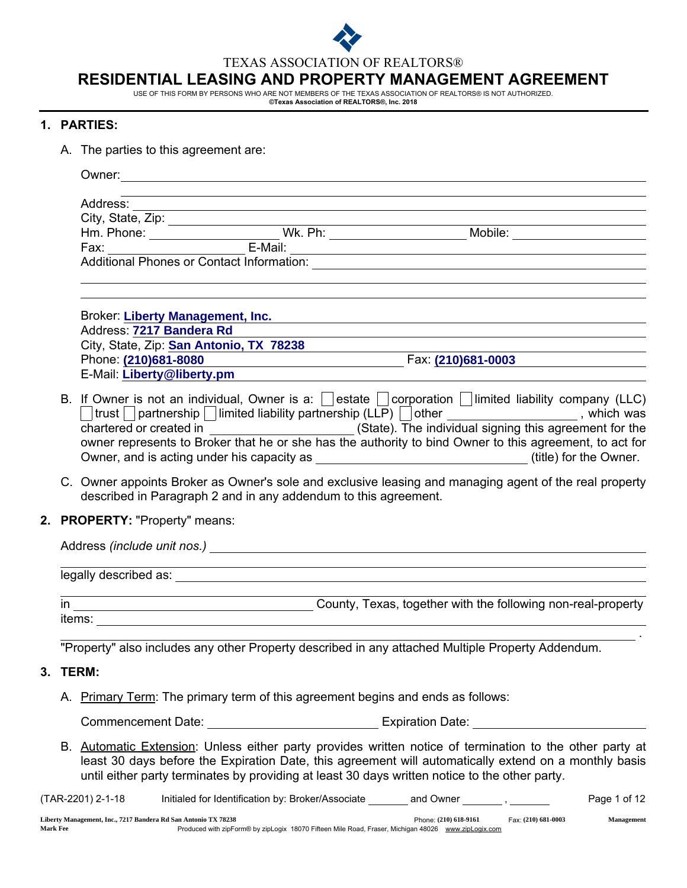

TEXAS ASSOCIATION OF REALTORS®

# RESIDENTIAL LEASING AND PROPERTY MANAGEMENT AGREEMENT

USE OF THIS FORM BY PERSONS WHO ARE NOT MEMBERS OF THE TEXAS ASSOCIATION OF REALTORS® IS NOT AUTHORIZED.<br>©Texas Association of **REALTORS®, Inc. 2018** 

# 1. PARTIES:

A. The parties to this agreement are:

|  | Address:                                                                                          |                                                                                    | the control of the control of the control of the control of the control of the control of the control of the control of the control of the control of the control of the control of the control of the control of the control |  |                                                                                                                                                                                                                                                                                                                                                                                      |              |  |  |
|--|---------------------------------------------------------------------------------------------------|------------------------------------------------------------------------------------|-------------------------------------------------------------------------------------------------------------------------------------------------------------------------------------------------------------------------------|--|--------------------------------------------------------------------------------------------------------------------------------------------------------------------------------------------------------------------------------------------------------------------------------------------------------------------------------------------------------------------------------------|--------------|--|--|
|  |                                                                                                   |                                                                                    |                                                                                                                                                                                                                               |  |                                                                                                                                                                                                                                                                                                                                                                                      |              |  |  |
|  |                                                                                                   |                                                                                    |                                                                                                                                                                                                                               |  |                                                                                                                                                                                                                                                                                                                                                                                      |              |  |  |
|  |                                                                                                   |                                                                                    |                                                                                                                                                                                                                               |  |                                                                                                                                                                                                                                                                                                                                                                                      |              |  |  |
|  |                                                                                                   |                                                                                    |                                                                                                                                                                                                                               |  |                                                                                                                                                                                                                                                                                                                                                                                      |              |  |  |
|  | Address: 7217 Bandera Rd<br>Phone: (210)681-8080                                                  | <b>Broker: Liberty Management, Inc.</b><br>City, State, Zip: San Antonio, TX 78238 |                                                                                                                                                                                                                               |  | and the control of the control of the control of the control of the control of the control of the control of the                                                                                                                                                                                                                                                                     |              |  |  |
|  | E-Mail: Liberty@liberty.pm                                                                        |                                                                                    | and the control of the control of the control of the control of the control of the control of the control of the                                                                                                              |  |                                                                                                                                                                                                                                                                                                                                                                                      |              |  |  |
|  |                                                                                                   |                                                                                    |                                                                                                                                                                                                                               |  | B. If Owner is not an individual, Owner is a: $\vert$ estate $\vert$ corporation $\vert$ limited liability company (LLC)<br>$\Box$ trust $\Box$ partnership $\Box$ limited liability partnership (LLP) $\Box$ other $\Box$ $\Box$ $\Box$ $\Box$ $\Box$ $\Box$ , which was<br>owner represents to Broker that he or she has the authority to bind Owner to this agreement, to act for |              |  |  |
|  |                                                                                                   | described in Paragraph 2 and in any addendum to this agreement.                    |                                                                                                                                                                                                                               |  | C. Owner appoints Broker as Owner's sole and exclusive leasing and managing agent of the real property                                                                                                                                                                                                                                                                               |              |  |  |
|  | 2. PROPERTY: "Property" means:                                                                    |                                                                                    |                                                                                                                                                                                                                               |  |                                                                                                                                                                                                                                                                                                                                                                                      |              |  |  |
|  |                                                                                                   |                                                                                    |                                                                                                                                                                                                                               |  |                                                                                                                                                                                                                                                                                                                                                                                      |              |  |  |
|  |                                                                                                   |                                                                                    |                                                                                                                                                                                                                               |  |                                                                                                                                                                                                                                                                                                                                                                                      |              |  |  |
|  |                                                                                                   |                                                                                    |                                                                                                                                                                                                                               |  |                                                                                                                                                                                                                                                                                                                                                                                      |              |  |  |
|  |                                                                                                   |                                                                                    |                                                                                                                                                                                                                               |  |                                                                                                                                                                                                                                                                                                                                                                                      |              |  |  |
|  | "Property" also includes any other Property described in any attached Multiple Property Addendum. |                                                                                    |                                                                                                                                                                                                                               |  |                                                                                                                                                                                                                                                                                                                                                                                      |              |  |  |
|  | 3. TERM:                                                                                          |                                                                                    |                                                                                                                                                                                                                               |  |                                                                                                                                                                                                                                                                                                                                                                                      |              |  |  |
|  | A. Primary Term: The primary term of this agreement begins and ends as follows:                   |                                                                                    |                                                                                                                                                                                                                               |  |                                                                                                                                                                                                                                                                                                                                                                                      |              |  |  |
|  |                                                                                                   |                                                                                    |                                                                                                                                                                                                                               |  |                                                                                                                                                                                                                                                                                                                                                                                      |              |  |  |
|  |                                                                                                   |                                                                                    |                                                                                                                                                                                                                               |  | B. Automatic Extension: Unless either party provides written notice of termination to the other party at<br>least 30 days before the Expiration Date, this agreement will automatically extend on a monthly basis<br>until either party terminates by providing at least 30 days written notice to the other party.                                                                  |              |  |  |
|  | (TAR-2201) 2-1-18                                                                                 |                                                                                    |                                                                                                                                                                                                                               |  | Initialed for Identification by: Broker/Associate _______ and Owner ________, _______                                                                                                                                                                                                                                                                                                | Page 1 of 12 |  |  |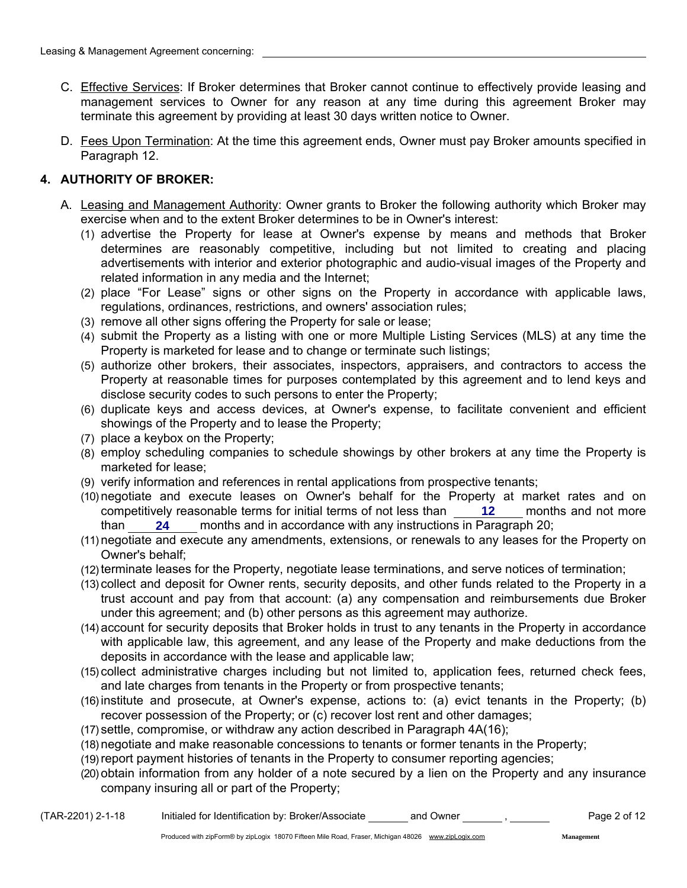- C. Effective Services: If Broker determines that Broker cannot continue to effectively provide leasing and management services to Owner for any reason at any time during this agreement Broker may terminate this agreement by providing at least 30 days written notice to Owner.
- D. Fees Upon Termination: At the time this agreement ends, Owner must pay Broker amounts specified in Paragraph 12.

# 4. AUTHORITY OF BROKER:

- A. Leasing and Management Authority: Owner grants to Broker the following authority which Broker may exercise when and to the extent Broker determines to be in Owner's interest:
	- (1) advertise the Property for lease at Owner's expense by means and methods that Broker determines are reasonably competitive, including but not limited to creating and placing advertisements with interior and exterior photographic and audio-visual images of the Property and related information in any media and the Internet;
	- (2) place "For Lease" signs or other signs on the Property in accordance with applicable laws, regulations, ordinances, restrictions, and owners' association rules;
	- (3) remove all other signs offering the Property for sale or lease;
	- (4) submit the Property as a listing with one or more Multiple Listing Services (MLS) at any time the Property is marketed for lease and to change or terminate such listings;
	- (5) authorize other brokers, their associates, inspectors, appraisers, and contractors to access the Property at reasonable times for purposes contemplated by this agreement and to lend keys and disclose security codes to such persons to enter the Property;
	- (6) duplicate keys and access devices, at Owner's expense, to facilitate convenient and efficient showings of the Property and to lease the Property;
	- (7) place a keybox on the Property;
	- (8) employ scheduling companies to schedule showings by other brokers at any time the Property is marketed for lease;
	- (9) verify information and references in rental applications from prospective tenants;
	- (10) negotiate and execute leases on Owner's behalf for the Property at market rates and on competitively reasonable terms for initial terms of not less than **12** Allemonths and not more than **24** months and in accordance with any instructions in Paragraph 20; **24**
	- (11) negotiate and execute any amendments, extensions, or renewals to any leases for the Property on Owner's behalf;
	- (12) terminate leases for the Property, negotiate lease terminations, and serve notices of termination;
	- (13) collect and deposit for Owner rents, security deposits, and other funds related to the Property in a trust account and pay from that account: (a) any compensation and reimbursements due Broker under this agreement; and (b) other persons as this agreement may authorize.
	- (14) account for security deposits that Broker holds in trust to any tenants in the Property in accordance with applicable law, this agreement, and any lease of the Property and make deductions from the deposits in accordance with the lease and applicable law;
	- (15) collect administrative charges including but not limited to, application fees, returned check fees, and late charges from tenants in the Property or from prospective tenants;
	- (16) institute and prosecute, at Owner's expense, actions to: (a) evict tenants in the Property; (b) recover possession of the Property; or (c) recover lost rent and other damages;
	- (17) settle, compromise, or withdraw any action described in Paragraph 4A(16);
	- (18) negotiate and make reasonable concessions to tenants or former tenants in the Property;
	- (19) report payment histories of tenants in the Property to consumer reporting agencies;
	- (20) obtain information from any holder of a note secured by a lien on the Property and any insurance company insuring all or part of the Property;

**Management**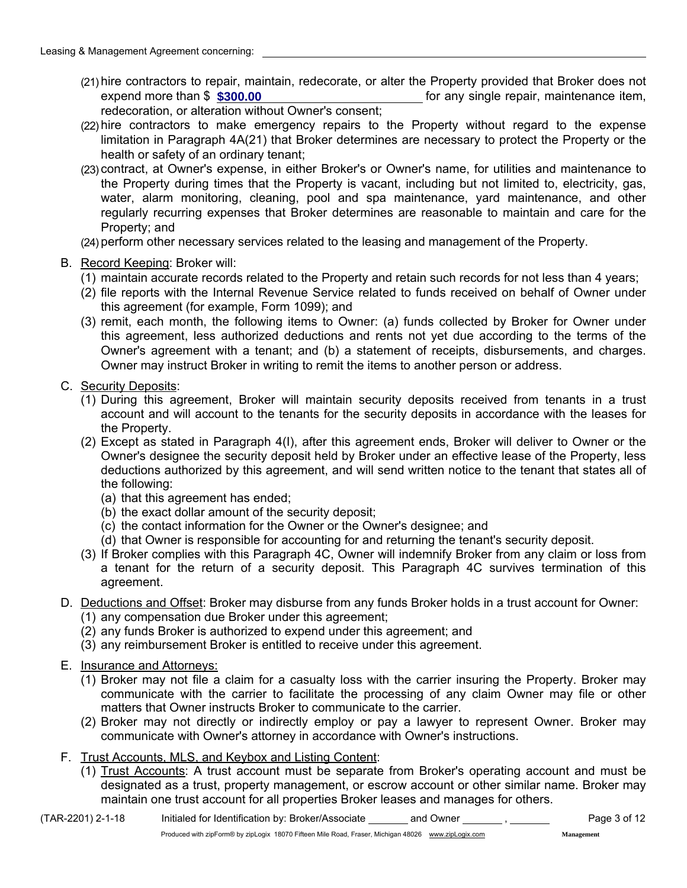- (21) hire contractors to repair, maintain, redecorate, or alter the Property provided that Broker does not for any single repair, maintenance item, redecoration, or alteration without Owner's consent; **expend more than \$ \$300.00**
- (22) hire contractors to make emergency repairs to the Property without regard to the expense limitation in Paragraph 4A(21) that Broker determines are necessary to protect the Property or the health or safety of an ordinary tenant;
- (23) contract, at Owner's expense, in either Broker's or Owner's name, for utilities and maintenance to the Property during times that the Property is vacant, including but not limited to, electricity, gas, water, alarm monitoring, cleaning, pool and spa maintenance, yard maintenance, and other regularly recurring expenses that Broker determines are reasonable to maintain and care for the Property; and
- (24) perform other necessary services related to the leasing and management of the Property.
- B. Record Keeping: Broker will:
	- (1) maintain accurate records related to the Property and retain such records for not less than 4 years;
	- (2) file reports with the Internal Revenue Service related to funds received on behalf of Owner under this agreement (for example, Form 1099); and
	- (3) remit, each month, the following items to Owner: (a) funds collected by Broker for Owner under this agreement, less authorized deductions and rents not yet due according to the terms of the Owner's agreement with a tenant; and (b) a statement of receipts, disbursements, and charges. Owner may instruct Broker in writing to remit the items to another person or address.
- C. Security Deposits:
	- (1) During this agreement, Broker will maintain security deposits received from tenants in a trust account and will account to the tenants for the security deposits in accordance with the leases for the Property.
	- (2) Except as stated in Paragraph 4(I), after this agreement ends, Broker will deliver to Owner or the Owner's designee the security deposit held by Broker under an effective lease of the Property, less deductions authorized by this agreement, and will send written notice to the tenant that states all of the following:
		- (a) that this agreement has ended;
		- (b) the exact dollar amount of the security deposit;
		- (c) the contact information for the Owner or the Owner's designee; and
		- (d) that Owner is responsible for accounting for and returning the tenant's security deposit.
	- (3) If Broker complies with this Paragraph 4C, Owner will indemnify Broker from any claim or loss from a tenant for the return of a security deposit. This Paragraph 4C survives termination of this agreement.
- D. Deductions and Offset: Broker may disburse from any funds Broker holds in a trust account for Owner:
	- (1) any compensation due Broker under this agreement;
	- (2) any funds Broker is authorized to expend under this agreement; and
	- (3) any reimbursement Broker is entitled to receive under this agreement.
- E. Insurance and Attorneys:
	- (1) Broker may not file a claim for a casualty loss with the carrier insuring the Property. Broker may communicate with the carrier to facilitate the processing of any claim Owner may file or other matters that Owner instructs Broker to communicate to the carrier.
	- (2) Broker may not directly or indirectly employ or pay a lawyer to represent Owner. Broker may communicate with Owner's attorney in accordance with Owner's instructions.
- F. Trust Accounts, MLS, and Keybox and Listing Content:
	- (1) Trust Accounts: A trust account must be separate from Broker's operating account and must be designated as a trust, property management, or escrow account or other similar name. Broker may maintain one trust account for all properties Broker leases and manages for others.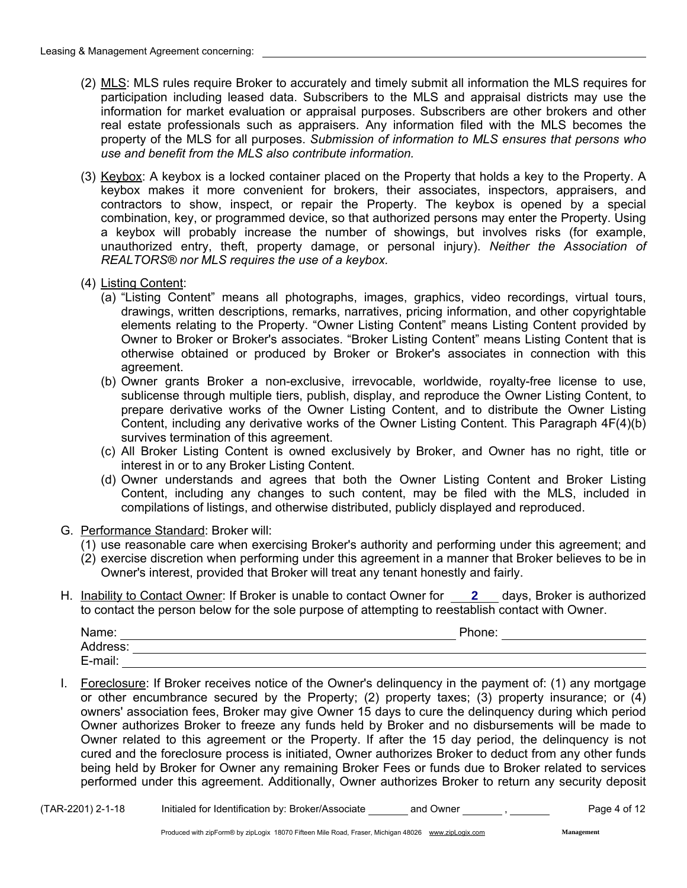- (2) MLS: MLS rules require Broker to accurately and timely submit all information the MLS requires for participation including leased data. Subscribers to the MLS and appraisal districts may use the information for market evaluation or appraisal purposes. Subscribers are other brokers and other real estate professionals such as appraisers. Any information filed with the MLS becomes the property of the MLS for all purposes. *Submission of information to MLS ensures that persons who use and benefit from the MLS also contribute information.*
- (3) Keybox: A keybox is a locked container placed on the Property that holds a key to the Property. A keybox makes it more convenient for brokers, their associates, inspectors, appraisers, and contractors to show, inspect, or repair the Property. The keybox is opened by a special combination, key, or programmed device, so that authorized persons may enter the Property. Using a keybox will probably increase the number of showings, but involves risks (for example, unauthorized entry, theft, property damage, or personal injury). *Neither the Association of REALTORS® nor MLS requires the use of a keybox.*
- (4) Listing Content:
	- (a) "Listing Content" means all photographs, images, graphics, video recordings, virtual tours, drawings, written descriptions, remarks, narratives, pricing information, and other copyrightable elements relating to the Property. "Owner Listing Content" means Listing Content provided by Owner to Broker or Broker's associates. "Broker Listing Content" means Listing Content that is otherwise obtained or produced by Broker or Broker's associates in connection with this agreement.
	- (b) Owner grants Broker a non-exclusive, irrevocable, worldwide, royalty-free license to use, sublicense through multiple tiers, publish, display, and reproduce the Owner Listing Content, to prepare derivative works of the Owner Listing Content, and to distribute the Owner Listing Content, including any derivative works of the Owner Listing Content. This Paragraph 4F(4)(b) survives termination of this agreement.
	- (c) All Broker Listing Content is owned exclusively by Broker, and Owner has no right, title or interest in or to any Broker Listing Content.
	- (d) Owner understands and agrees that both the Owner Listing Content and Broker Listing Content, including any changes to such content, may be filed with the MLS, included in compilations of listings, and otherwise distributed, publicly displayed and reproduced.
- G. Performance Standard: Broker will:
	- (1) use reasonable care when exercising Broker's authority and performing under this agreement; and
	- (2) exercise discretion when performing under this agreement in a manner that Broker believes to be in Owner's interest, provided that Broker will treat any tenant honestly and fairly.
- H. Inability to Contact Owner: If Broker is unable to contact Owner for **2** days, Broker is authorized to contact the person below for the sole purpose of attempting to reestablish contact with Owner.

| Name:    | Phone: |
|----------|--------|
| Address: |        |
| E-mail:  |        |

I. Foreclosure: If Broker receives notice of the Owner's delinquency in the payment of: (1) any mortgage or other encumbrance secured by the Property; (2) property taxes; (3) property insurance; or (4) owners' association fees, Broker may give Owner 15 days to cure the delinquency during which period Owner authorizes Broker to freeze any funds held by Broker and no disbursements will be made to Owner related to this agreement or the Property. If after the 15 day period, the delinquency is not cured and the foreclosure process is initiated, Owner authorizes Broker to deduct from any other funds being held by Broker for Owner any remaining Broker Fees or funds due to Broker related to services performed under this agreement. Additionally, Owner authorizes Broker to return any security deposit

**Management**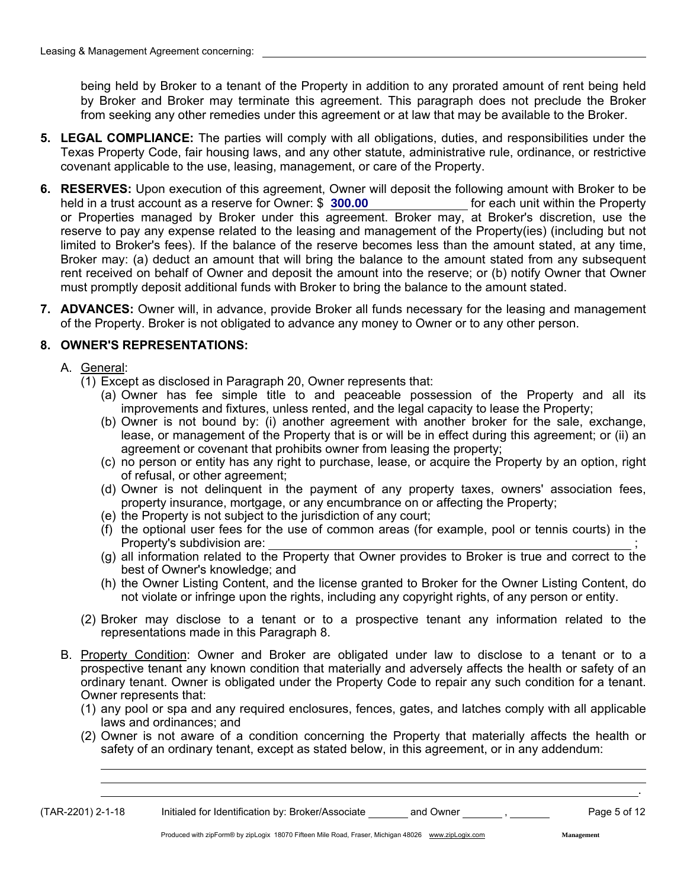being held by Broker to a tenant of the Property in addition to any prorated amount of rent being held by Broker and Broker may terminate this agreement. This paragraph does not preclude the Broker from seeking any other remedies under this agreement or at law that may be available to the Broker.

- 5. LEGAL COMPLIANCE: The parties will comply with all obligations, duties, and responsibilities under the Texas Property Code, fair housing laws, and any other statute, administrative rule, ordinance, or restrictive covenant applicable to the use, leasing, management, or care of the Property.
- 6. RESERVES: Upon execution of this agreement, Owner will deposit the following amount with Broker to be held in a trust account as a reserve for Owner: \$ **300.00** [10] [10] [10] [10] for each unit within the Property or Properties managed by Broker under this agreement. Broker may, at Broker's discretion, use the reserve to pay any expense related to the leasing and management of the Property(ies) (including but not limited to Broker's fees). If the balance of the reserve becomes less than the amount stated, at any time, Broker may: (a) deduct an amount that will bring the balance to the amount stated from any subsequent rent received on behalf of Owner and deposit the amount into the reserve; or (b) notify Owner that Owner must promptly deposit additional funds with Broker to bring the balance to the amount stated.
- 7. ADVANCES: Owner will, in advance, provide Broker all funds necessary for the leasing and management of the Property. Broker is not obligated to advance any money to Owner or to any other person.

## 8. OWNER'S REPRESENTATIONS:

- A. General:
	- (1) Except as disclosed in Paragraph 20, Owner represents that:
		- (a) Owner has fee simple title to and peaceable possession of the Property and all its improvements and fixtures, unless rented, and the legal capacity to lease the Property;
		- (b) Owner is not bound by: (i) another agreement with another broker for the sale, exchange, lease, or management of the Property that is or will be in effect during this agreement; or (ii) an agreement or covenant that prohibits owner from leasing the property;
		- (c) no person or entity has any right to purchase, lease, or acquire the Property by an option, right of refusal, or other agreement;
		- (d) Owner is not delinquent in the payment of any property taxes, owners' association fees, property insurance, mortgage, or any encumbrance on or affecting the Property;
		- (e) the Property is not subject to the jurisdiction of any court;
		- (f) the optional user fees for the use of common areas (for example, pool or tennis courts) in the Property's subdivision are:
		- (g) all information related to the Property that Owner provides to Broker is true and correct to the best of Owner's knowledge; and
		- (h) the Owner Listing Content, and the license granted to Broker for the Owner Listing Content, do not violate or infringe upon the rights, including any copyright rights, of any person or entity.
	- (2) Broker may disclose to a tenant or to a prospective tenant any information related to the representations made in this Paragraph 8.
- B. Property Condition: Owner and Broker are obligated under law to disclose to a tenant or to a prospective tenant any known condition that materially and adversely affects the health or safety of an ordinary tenant. Owner is obligated under the Property Code to repair any such condition for a tenant. Owner represents that:
	- (1) any pool or spa and any required enclosures, fences, gates, and latches comply with all applicable laws and ordinances; and
	- (2) Owner is not aware of a condition concerning the Property that materially affects the health or safety of an ordinary tenant, except as stated below, in this agreement, or in any addendum:

(TAR-2201) 2-1-18 Initialed for Identification by: Broker/Associate and Owner , Page 5 of 12

.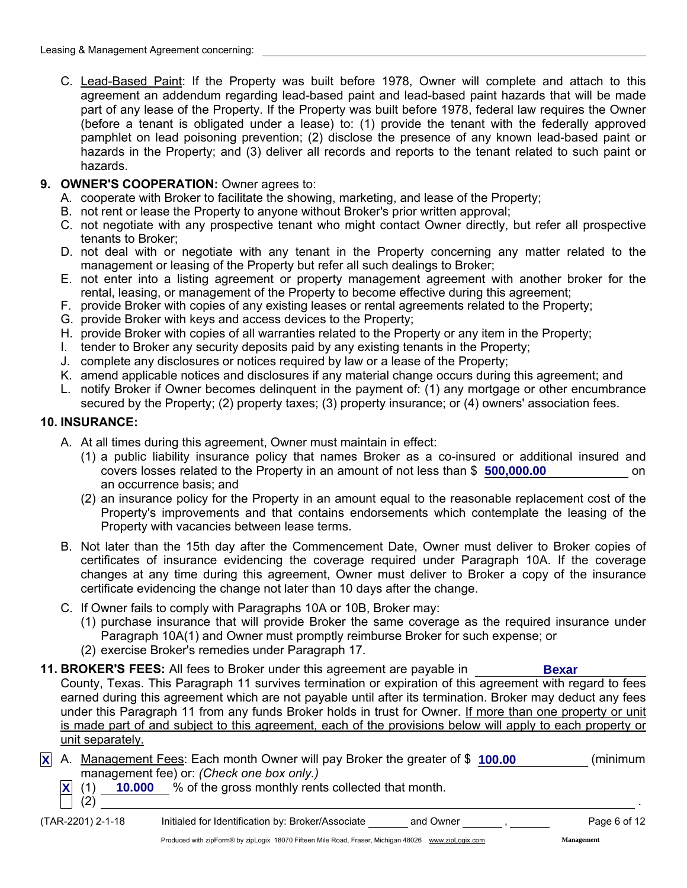C. Lead-Based Paint: If the Property was built before 1978, Owner will complete and attach to this agreement an addendum regarding lead-based paint and lead-based paint hazards that will be made part of any lease of the Property. If the Property was built before 1978, federal law requires the Owner (before a tenant is obligated under a lease) to: (1) provide the tenant with the federally approved pamphlet on lead poisoning prevention; (2) disclose the presence of any known lead-based paint or hazards in the Property; and (3) deliver all records and reports to the tenant related to such paint or hazards.

# 9. OWNER'S COOPERATION: Owner agrees to:

- A. cooperate with Broker to facilitate the showing, marketing, and lease of the Property;
- B. not rent or lease the Property to anyone without Broker's prior written approval;
- C. not negotiate with any prospective tenant who might contact Owner directly, but refer all prospective tenants to Broker;
- D. not deal with or negotiate with any tenant in the Property concerning any matter related to the management or leasing of the Property but refer all such dealings to Broker;
- E. not enter into a listing agreement or property management agreement with another broker for the rental, leasing, or management of the Property to become effective during this agreement;
- F. provide Broker with copies of any existing leases or rental agreements related to the Property;
- G. provide Broker with keys and access devices to the Property;
- H. provide Broker with copies of all warranties related to the Property or any item in the Property;
- I. tender to Broker any security deposits paid by any existing tenants in the Property;
- J. complete any disclosures or notices required by law or a lease of the Property;
- K. amend applicable notices and disclosures if any material change occurs during this agreement; and
- L. notify Broker if Owner becomes delinquent in the payment of: (1) any mortgage or other encumbrance secured by the Property; (2) property taxes; (3) property insurance; or (4) owners' association fees.

### 10. INSURANCE:

- A. At all times during this agreement, Owner must maintain in effect:
	- (1) a public liability insurance policy that names Broker as a co-insured or additional insured and covers losses related to the Property in an amount of not less than \$ **500,000.00 comedy** on an occurrence basis; and
	- (2) an insurance policy for the Property in an amount equal to the reasonable replacement cost of the Property's improvements and that contains endorsements which contemplate the leasing of the Property with vacancies between lease terms.
- B. Not later than the 15th day after the Commencement Date, Owner must deliver to Broker copies of certificates of insurance evidencing the coverage required under Paragraph 10A. If the coverage changes at any time during this agreement, Owner must deliver to Broker a copy of the insurance certificate evidencing the change not later than 10 days after the change.
- C. If Owner fails to comply with Paragraphs 10A or 10B, Broker may:
	- (1) purchase insurance that will provide Broker the same coverage as the required insurance under Paragraph 10A(1) and Owner must promptly reimburse Broker for such expense; or
	- (2) exercise Broker's remedies under Paragraph 17.
- **11. BROKER'S FEES:** All fees to Broker under this agreement are payable in County, Texas. This Paragraph 11 survives termination or expiration of this agreement with regard to fees earned during this agreement which are not payable until after its termination. Broker may deduct any fees under this Paragraph 11 from any funds Broker holds in trust for Owner. If more than one property or unit is made part of and subject to this agreement, each of the provisions below will apply to each property or unit separately. **Bexar**
- X A. Management Fees: Each month Owner will pay Broker the greater of \$ 100.00 (minimum management fee) or: *(Check one box only.)*
	- $\underline{\mathsf{X}}$  (1)  $\underline{\phantom{X}}$  10.000  $\underline{\phantom{X}}$  % of the gross monthly rents collected that month.

 $(2)$ 

(TAR-2201) 2-1-18 Initialed for Identification by: Broker/Associate and Owner , Page 6 of 12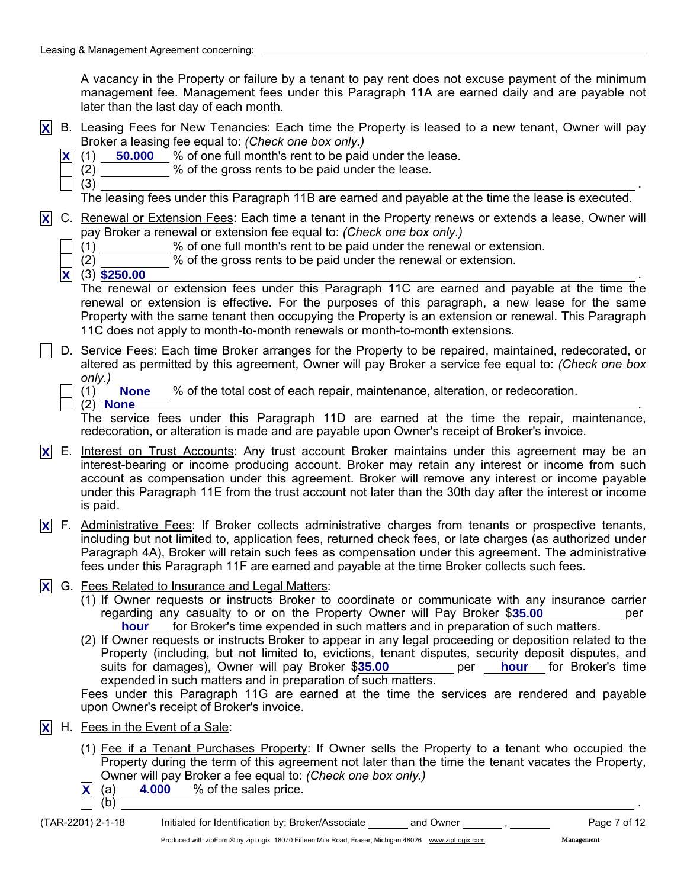A vacancy in the Property or failure by a tenant to pay rent does not excuse payment of the minimum management fee. Management fees under this Paragraph 11A are earned daily and are payable not later than the last day of each month.

- B. Leasing Fees for New Tenancies: Each time the Property is leased to a new tenant, Owner will pay **X** Broker a leasing fee equal to: *(Check one box only.)*
	- $\underline{\mathsf{X}}$  (1) **50.000** % of one full month's rent to be paid under the lease.
		- (2) % of the gross rents to be paid under the lease.

 $(3)$ 

The leasing fees under this Paragraph 11B are earned and payable at the time the lease is executed.

- C. Renewal or Extension Fees: Each time a tenant in the Property renews or extends a lease, Owner will **X** pay Broker a renewal or extension fee equal to: *(Check one box only.)*
	- (1) % of one full month's rent to be paid under the renewal or extension.

(2) % of the gross rents to be paid under the renewal or extension.

(3) . **X \$250.00** The renewal or extension fees under this Paragraph 11C are earned and payable at the time the renewal or extension is effective. For the purposes of this paragraph, a new lease for the same Property with the same tenant then occupying the Property is an extension or renewal. This Paragraph 11C does not apply to month-to-month renewals or month-to-month extensions.

D. Service Fees: Each time Broker arranges for the Property to be repaired, maintained, redecorated, or altered as permitted by this agreement, Owner will pay Broker a service fee equal to: *(Check one box only.)*

(1) % of the total cost of each repair, maintenance, alteration, or redecoration. **None**

 $(2)$  . None that is a set of  $(2)$  . None that is a set of  $(2)$  . In the set of  $(2)$  . In the set of  $(2)$  **None**

The service fees under this Paragraph 11D are earned at the time the repair, maintenance, redecoration, or alteration is made and are payable upon Owner's receipt of Broker's invoice.

- E. Interest on Trust Accounts: Any trust account Broker maintains under this agreement may be an **X** interest-bearing or income producing account. Broker may retain any interest or income from such account as compensation under this agreement. Broker will remove any interest or income payable under this Paragraph 11E from the trust account not later than the 30th day after the interest or income is paid.
- F. Administrative Fees: If Broker collects administrative charges from tenants or prospective tenants, **X** including but not limited to, application fees, returned check fees, or late charges (as authorized under Paragraph 4A), Broker will retain such fees as compensation under this agreement. The administrative fees under this Paragraph 11F are earned and payable at the time Broker collects such fees.
- G. Fees Related to Insurance and Legal Matters: **X**
	- (1) If Owner requests or instructs Broker to coordinate or communicate with any insurance carrier regarding any casualty to or on the Property Owner will Pay Broker \$35.00 **1998** per hour for Broker's time expended in such matters and in preparation of such matters.
	- (2) If Owner requests or instructs Broker to appear in any legal proceeding or deposition related to the Property (including, but not limited to, evictions, tenant disputes, security deposit disputes, and suits for damages), Owner will pay Broker \$35.00 expended in such matters and in preparation of such matters. **35.000 hour** for Broker's time

Fees under this Paragraph 11G are earned at the time the services are rendered and payable upon Owner's receipt of Broker's invoice.

- H. Fees in the Event of a Sale: **X**
	- (1) Fee if a Tenant Purchases Property: If Owner sells the Property to a tenant who occupied the Property during the term of this agreement not later than the time the tenant vacates the Property, Owner will pay Broker a fee equal to: *(Check one box only.)*
	- $\mathbf{X}$  (a)  $\mathbf{A}$  4.000  $\mathbf{A}$  % of the sales price.

(b) .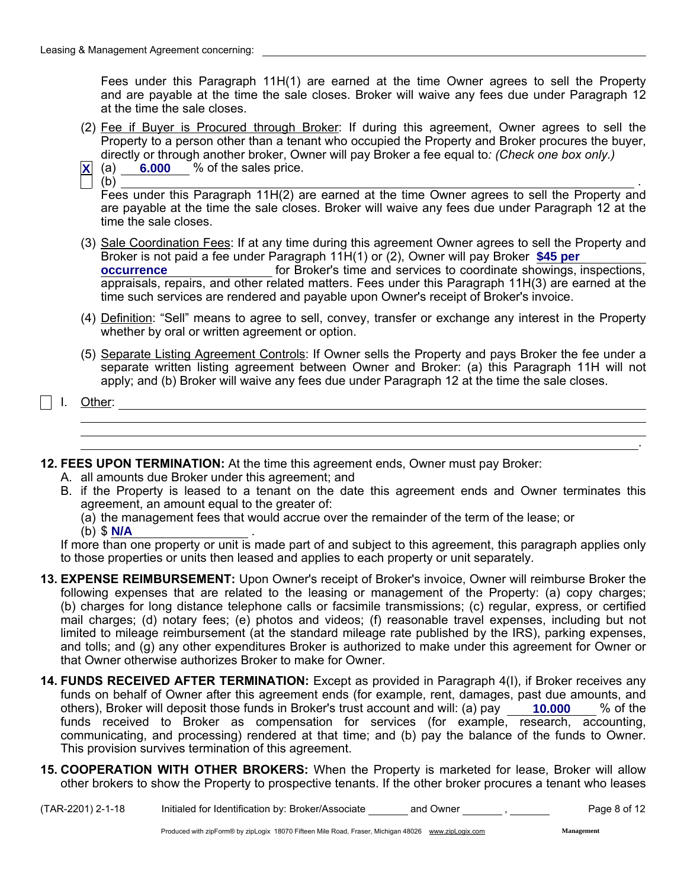Fees under this Paragraph 11H(1) are earned at the time Owner agrees to sell the Property and are payable at the time the sale closes. Broker will waive any fees due under Paragraph 12 at the time the sale closes.

- (2) Fee if Buyer is Procured through Broker: If during this agreement, Owner agrees to sell the Property to a person other than a tenant who occupied the Property and Broker procures the buyer, directly or through another broker, Owner will pay Broker a fee equal to*: (Check one box only.)*
- **<u>X</u>** (a) 6.000 % of the sales price.

 $\qquad \qquad \textbf{(b)}$ 

Fees under this Paragraph 11H(2) are earned at the time Owner agrees to sell the Property and are payable at the time the sale closes. Broker will waive any fees due under Paragraph 12 at the time the sale closes.

- (3) Sale Coordination Fees: If at any time during this agreement Owner agrees to sell the Property and Broker is not paid a fee under Paragraph 11H(1) or (2), Owner will pay Broker **\$45 per** for Broker's time and services to coordinate showings, inspections, **occurrence** appraisals, repairs, and other related matters. Fees under this Paragraph 11H(3) are earned at the time such services are rendered and payable upon Owner's receipt of Broker's invoice.
- (4) Definition: "Sell" means to agree to sell, convey, transfer or exchange any interest in the Property whether by oral or written agreement or option.
- (5) Separate Listing Agreement Controls: If Owner sells the Property and pays Broker the fee under a separate written listing agreement between Owner and Broker: (a) this Paragraph 11H will not apply; and (b) Broker will waive any fees due under Paragraph 12 at the time the sale closes.

I. Other:

12. FEES UPON TERMINATION: At the time this agreement ends, Owner must pay Broker:

- A. all amounts due Broker under this agreement; and
- B. if the Property is leased to a tenant on the date this agreement ends and Owner terminates this agreement, an amount equal to the greater of:
	- (a) the management fees that would accrue over the remainder of the term of the lease; or
	- (b) \$ . **N/A**

If more than one property or unit is made part of and subject to this agreement, this paragraph applies only to those properties or units then leased and applies to each property or unit separately.

- 13. EXPENSE REIMBURSEMENT: Upon Owner's receipt of Broker's invoice, Owner will reimburse Broker the following expenses that are related to the leasing or management of the Property: (a) copy charges; (b) charges for long distance telephone calls or facsimile transmissions; (c) regular, express, or certified mail charges; (d) notary fees; (e) photos and videos; (f) reasonable travel expenses, including but not limited to mileage reimbursement (at the standard mileage rate published by the IRS), parking expenses, and tolls; and (g) any other expenditures Broker is authorized to make under this agreement for Owner or that Owner otherwise authorizes Broker to make for Owner.
- 14. FUNDS RECEIVED AFTER TERMINATION: Except as provided in Paragraph 4(I), if Broker receives any funds on behalf of Owner after this agreement ends (for example, rent, damages, past due amounts, and others), Broker will deposit those funds in Broker's trust account and will: (a) pay \_\_\_\_ 10.000 \_\_\_ % of the funds received to Broker as compensation for services (for example, research, accounting, communicating, and processing) rendered at that time; and (b) pay the balance of the funds to Owner. This provision survives termination of this agreement.
- 15. COOPERATION WITH OTHER BROKERS: When the Property is marketed for lease, Broker will allow other brokers to show the Property to prospective tenants. If the other broker procures a tenant who leases

**Management**

.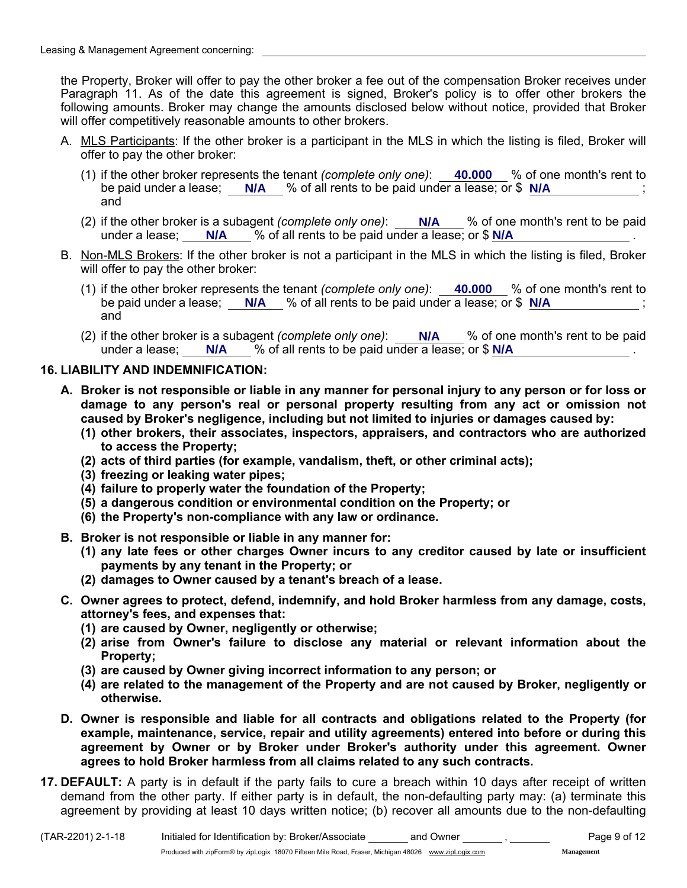the Property, Broker will offer to pay the other broker a fee out of the compensation Broker receives under Paragraph 11. As of the date this agreement is signed, Broker's policy is to offer other brokers the following amounts. Broker may change the amounts disclosed below without notice, provided that Broker will offer competitively reasonable amounts to other brokers.

- A. MLS Participants: If the other broker is a participant in the MLS in which the listing is filed, Broker will offer to pay the other broker:
	- (1) if the other broker represents the tenant *(complete only one)*:  $\_\_40.000\_\_\}$  of one month's rent tobe paid under a lease; N/A % of all rents to be paid under a lease; or \$ N/A  $\cdot$  ,  $\cdot$ and
	- (2) if the other broker is a subagent *(complete only one)*: Notally 2% of one month's rent to be paid under a lease; N/A \, % of all rents to be paid under a lease; or \$ N/A \, \, \, \, \, \, \, \, \, \, \, \, \,
- B. Non-MLS Brokers: If the other broker is not a participant in the MLS in which the listing is filed, Broker will offer to pay the other broker:
	- (1) if the other broker represents the tenant *(complete only one)*:  $\_\_40.000\_\_$ % of one month's rent to be paid under a lease; N/A % of all rents to be paid under a lease; or \$ N/A  $\cdot$  ,  $\cdot$ and
	- (2) if the other broker is a subagent *(complete only one)*: Notally 2% of one month's rent to be paid under a lease; N/A \, % of all rents to be paid under a lease; or \$ N/A \, \, \, \, \, \, \, \, \, \, \, \, \,

# 16. LIABILITY AND INDEMNIFICATION:

- A. Broker is not responsible or liable in any manner for personal injury to any person or for loss or damage to any person's real or personal property resulting from any act or omission not caused by Broker's negligence, including but not limited to injuries or damages caused by:
	- (1) other brokers, their associates, inspectors, appraisers, and contractors who are authorized to access the Property;
	- (2) acts of third parties (for example, vandalism, theft, or other criminal acts);
	- (3) freezing or leaking water pipes;
	- (4) failure to properly water the foundation of the Property;
	- (5) a dangerous condition or environmental condition on the Property; or
	- (6) the Property's non-compliance with any law or ordinance.
- B. Broker is not responsible or liable in any manner for:
	- (1) any late fees or other charges Owner incurs to any creditor caused by late or insufficient payments by any tenant in the Property; or
	- (2) damages to Owner caused by a tenant's breach of a lease.
- C. Owner agrees to protect, defend, indemnify, and hold Broker harmless from any damage, costs, attorney's fees, and expenses that:
	- (1) are caused by Owner, negligently or otherwise;
	- (2) arise from Owner's failure to disclose any material or relevant information about the Property;
	- (3) are caused by Owner giving incorrect information to any person; or
	- (4) are related to the management of the Property and are not caused by Broker, negligently or otherwise.
- D. Owner is responsible and liable for all contracts and obligations related to the Property (for example, maintenance, service, repair and utility agreements) entered into before or during this agreement by Owner or by Broker under Broker's authority under this agreement. Owner agrees to hold Broker harmless from all claims related to any such contracts.
- **17. DEFAULT:** A party is in default if the party fails to cure a breach within 10 days after receipt of written demand from the other party. If either party is in default, the non-defaulting party may: (a) terminate this agreement by providing at least 10 days written notice; (b) recover all amounts due to the non-defaulting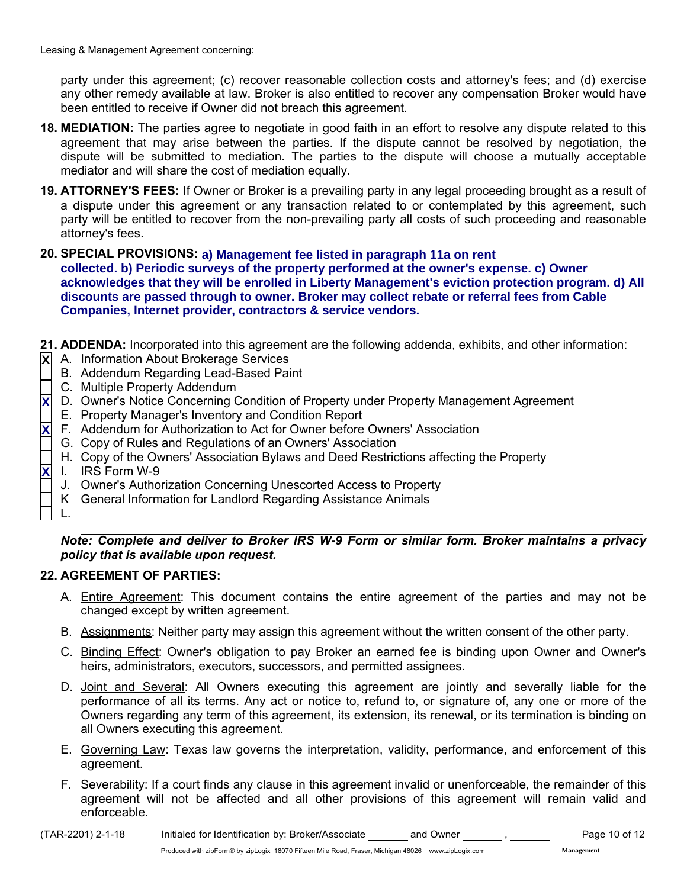party under this agreement; (c) recover reasonable collection costs and attorney's fees; and (d) exercise any other remedy available at law. Broker is also entitled to recover any compensation Broker would have been entitled to receive if Owner did not breach this agreement.

- 18. MEDIATION: The parties agree to negotiate in good faith in an effort to resolve any dispute related to this agreement that may arise between the parties. If the dispute cannot be resolved by negotiation, the dispute will be submitted to mediation. The parties to the dispute will choose a mutually acceptable mediator and will share the cost of mediation equally.
- 19. ATTORNEY'S FEES: If Owner or Broker is a prevailing party in any legal proceeding brought as a result of a dispute under this agreement or any transaction related to or contemplated by this agreement, such party will be entitled to recover from the non-prevailing party all costs of such proceeding and reasonable attorney's fees.
- 20. SPECIAL PROVISIONS: **a) Management fee listed in paragraph 11a on rent collected. b) Periodic surveys of the property performed at the owner's expense. c) Owner acknowledges that they will be enrolled in Liberty Management's eviction protection program. d) All discounts are passed through to owner. Broker may collect rebate or referral fees from Cable Companies, Internet provider, contractors & service vendors.**
- 21. ADDENDA: Incorporated into this agreement are the following addenda, exhibits, and other information:
- A. Information About Brokerage Services **X**
	- B. Addendum Regarding Lead-Based Paint
	- C. Multiple Property Addendum
- D. Owner's Notice Concerning Condition of Property under Property Management Agreement **X**
- E. Property Manager's Inventory and Condition Report
- F. Addendum for Authorization to Act for Owner before Owners' Association **X**
- G. Copy of Rules and Regulations of an Owners' Association
- H. Copy of the Owners' Association Bylaws and Deed Restrictions affecting the Property
- I. IRS Form W-9 **X**
	- J. Owner's Authorization Concerning Unescorted Access to Property
	- K General Information for Landlord Regarding Assistance Animals
- L.

*Note: Complete and deliver to Broker IRS W-9 Form or similar form. Broker maintains a privacy policy that is available upon request.*

# 22. AGREEMENT OF PARTIES:

- A. Entire Agreement: This document contains the entire agreement of the parties and may not be changed except by written agreement.
- B. Assignments: Neither party may assign this agreement without the written consent of the other party.
- C. Binding Effect: Owner's obligation to pay Broker an earned fee is binding upon Owner and Owner's heirs, administrators, executors, successors, and permitted assignees.
- D. Joint and Several: All Owners executing this agreement are jointly and severally liable for the performance of all its terms. Any act or notice to, refund to, or signature of, any one or more of the Owners regarding any term of this agreement, its extension, its renewal, or its termination is binding on all Owners executing this agreement.
- E. Governing Law: Texas law governs the interpretation, validity, performance, and enforcement of this agreement.
- F. Severability: If a court finds any clause in this agreement invalid or unenforceable, the remainder of this agreement will not be affected and all other provisions of this agreement will remain valid and enforceable.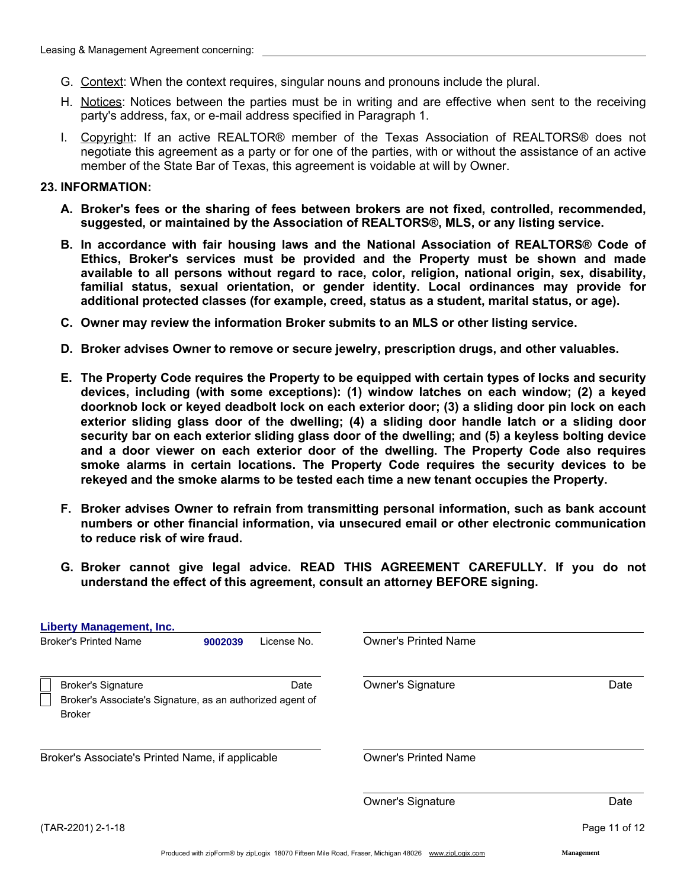- G. Context: When the context requires, singular nouns and pronouns include the plural.
- H. Notices: Notices between the parties must be in writing and are effective when sent to the receiving party's address, fax, or e-mail address specified in Paragraph 1.
- I. Copyright: If an active REALTOR® member of the Texas Association of REALTORS® does not negotiate this agreement as a party or for one of the parties, with or without the assistance of an active member of the State Bar of Texas, this agreement is voidable at will by Owner.

#### 23. INFORMATION:

- A. Broker's fees or the sharing of fees between brokers are not fixed, controlled, recommended, suggested, or maintained by the Association of REALTORS®, MLS, or any listing service.
- B. In accordance with fair housing laws and the National Association of REALTORS® Code of Ethics, Broker's services must be provided and the Property must be shown and made available to all persons without regard to race, color, religion, national origin, sex, disability, familial status, sexual orientation, or gender identity. Local ordinances may provide for additional protected classes (for example, creed, status as a student, marital status, or age).
- C. Owner may review the information Broker submits to an MLS or other listing service.
- D. Broker advises Owner to remove or secure jewelry, prescription drugs, and other valuables.
- E. The Property Code requires the Property to be equipped with certain types of locks and security devices, including (with some exceptions): (1) window latches on each window; (2) a keyed doorknob lock or keyed deadbolt lock on each exterior door; (3) a sliding door pin lock on each exterior sliding glass door of the dwelling; (4) a sliding door handle latch or a sliding door security bar on each exterior sliding glass door of the dwelling; and (5) a keyless bolting device and a door viewer on each exterior door of the dwelling. The Property Code also requires smoke alarms in certain locations. The Property Code requires the security devices to be rekeyed and the smoke alarms to be tested each time a new tenant occupies the Property.
- F. Broker advises Owner to refrain from transmitting personal information, such as bank account numbers or other financial information, via unsecured email or other electronic communication to reduce risk of wire fraud.
- G. Broker cannot give legal advice. READ THIS AGREEMENT CAREFULLY. If you do not understand the effect of this agreement, consult an attorney BEFORE signing.

| <b>Liberty Management, Inc.</b>                                                                         |         |             |                             |               |
|---------------------------------------------------------------------------------------------------------|---------|-------------|-----------------------------|---------------|
| <b>Broker's Printed Name</b>                                                                            | 9002039 | License No. | <b>Owner's Printed Name</b> |               |
| <b>Broker's Signature</b><br>Broker's Associate's Signature, as an authorized agent of<br><b>Broker</b> |         | Date        | Owner's Signature           | Date          |
| Broker's Associate's Printed Name, if applicable                                                        |         |             | <b>Owner's Printed Name</b> |               |
|                                                                                                         |         |             | <b>Owner's Signature</b>    | Date          |
| (TAR-2201) 2-1-18                                                                                       |         |             |                             | Page 11 of 12 |